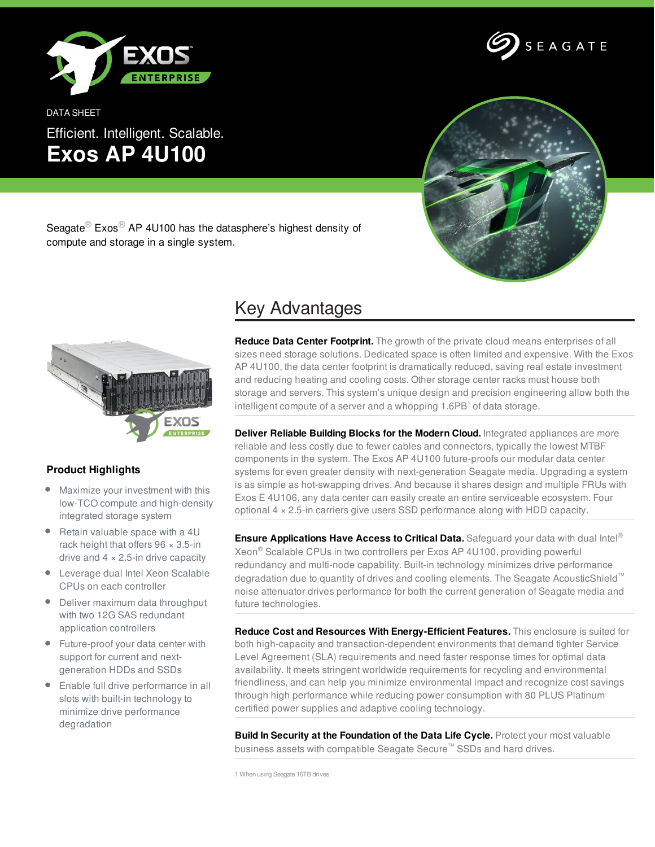

DATA SHEET Efficient. Intelligent. Scalable. **Exos AP 4U100**





Seagate<sup>®</sup> Exos<sup>®</sup> AP 4U100 has the datasphere's highest density of compute and storage in a single system.



## **Product Highlights**

- Maximize your investment with this low-TCO compute and high-density integrated storage system
- Retain valuable space with a 4U rack height that offers  $96 \times 3.5$ -in drive and  $4 \times 2.5$ -in drive capacity
- Leverage dual Intel Xeon Scalable CPUs on each controller
- Deliver maximum data throughput with two 12G SAS redundant application controllers
- Future-proof your data center with support for current and nextgeneration HDDs and SSDs
- Enable full drive performance in all slots with built-in technology to minimize drive performance degradation

## Key Advantages

**Reduce Data Center Footprint.** The growth of the private cloud means enterprises of all sizes need storage solutions. Dedicated space is often limited and expensive. With the Exos AP 4U100, the data center footprint is dramatically reduced, saving real estate investment and reducing heating and cooling costs. Other storage center racks must house both storage and servers. This system's unique design and precision engineering allow both the intelligent compute of a server and a whopping 1.6PB<sup>1</sup> of data storage.

**Deliver Reliable Building Blocks for the Modern Cloud.** Integrated appliances are more reliable and less costly due to fewer cables and connectors, typically the lowest MTBF components in the system. The Exos AP 4U100 future-proofs our modular data center systems for even greater density with next-generation Seagate media. Upgrading a system is as simple as hot-swapping drives. And because it shares design and multiple FRUs with Exos E 4U106, any data center can easily create an entire serviceable ecosystem. Four optional 4 × 2.5-in carriers give users SSD performance along with HDD capacity.

**Ensure Applications Have Access to Critical Data.** Safeguard your data with dual Intel ® Xeon ® Scalable CPUs in two controllers per Exos AP 4U100, providing powerful redundancy and multi-node capability. Built-in technology minimizes drive performance degradation due to quantity of drives and cooling elements. The Seagate AcousticShield™ noise attenuator drives performance for both the current generation of Seagate media and future technologies.

**Reduce Cost and Resources With Energy-Efficient Features.** This enclosure is suited for both high-capacity and transaction-dependent environments that demand tighter Service Level Agreement (SLA) requirements and need faster response times for optimal data availability. It meets stringent worldwide requirements for recycling and environmental friendliness, and can help you minimize environmental impact and recognize cost savings through high performance while reducing power consumption with 80 PLUS Platinum certified power supplies and adaptive cooling technology.

**Build In Security at the Foundation of the Data Life Cycle.** Protect your most valuable business assets with compatible Seagate Secure™ SSDs and hard drives.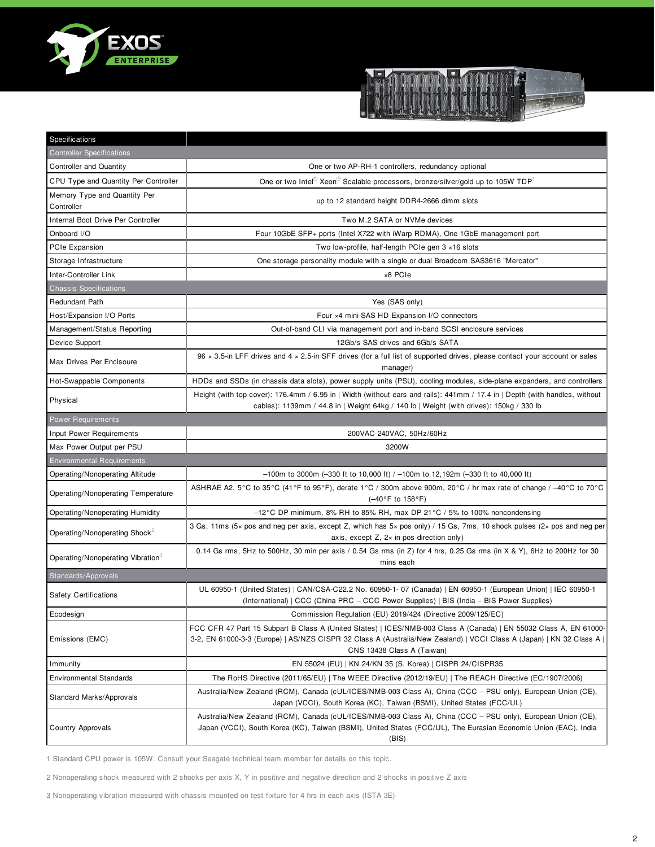



| Specifications                                |                                                                                                                                                                                                                                                                           |
|-----------------------------------------------|---------------------------------------------------------------------------------------------------------------------------------------------------------------------------------------------------------------------------------------------------------------------------|
| <b>Controller Specifications</b>              |                                                                                                                                                                                                                                                                           |
| <b>Controller and Quantity</b>                | One or two AP-RH-1 controllers, redundancy optional                                                                                                                                                                                                                       |
| CPU Type and Quantity Per Controller          | One or two Intel <sup>®</sup> Xeon <sup>®</sup> Scalable processors, bronze/silver/gold up to 105W TDP <sup>1</sup>                                                                                                                                                       |
| Memory Type and Quantity Per<br>Controller    | up to 12 standard height DDR4-2666 dimm slots                                                                                                                                                                                                                             |
| Internal Boot Drive Per Controller            | Two M.2 SATA or NVMe devices                                                                                                                                                                                                                                              |
| Onboard I/O                                   | Four 10GbE SFP+ ports (Intel X722 with iWarp RDMA), One 1GbE management port                                                                                                                                                                                              |
| PCIe Expansion                                | Two low-profile, half-length PCIe gen 3 x16 slots                                                                                                                                                                                                                         |
| Storage Infrastructure                        | One storage personality module with a single or dual Broadcom SAS3616 "Mercator"                                                                                                                                                                                          |
| Inter-Controller Link                         | ×8 PCIe                                                                                                                                                                                                                                                                   |
| <b>Chassis Specifications</b>                 |                                                                                                                                                                                                                                                                           |
| Redundant Path                                | Yes (SAS only)                                                                                                                                                                                                                                                            |
| Host/Expansion I/O Ports                      | Four ×4 mini-SAS HD Expansion I/O connectors                                                                                                                                                                                                                              |
| Management/Status Reporting                   | Out-of-band CLI via management port and in-band SCSI enclosure services                                                                                                                                                                                                   |
| Device Support                                | 12Gb/s SAS drives and 6Gb/s SATA                                                                                                                                                                                                                                          |
| Max Drives Per Enclsoure                      | 96 x 3.5-in LFF drives and 4 x 2.5-in SFF drives (for a full list of supported drives, please contact your account or sales<br>manager)                                                                                                                                   |
| Hot-Swappable Components                      | HDDs and SSDs (in chassis data slots), power supply units (PSU), cooling modules, side-plane expanders, and controllers                                                                                                                                                   |
| Physical                                      | Height (with top cover): 176.4mm / 6.95 in   Width (without ears and rails): 441mm / 17.4 in   Depth (with handles, without<br>cables): 1139mm / 44.8 in   Weight 64kg / 140 lb   Weight (with drives): 150kg / 330 lb                                                    |
| <b>Power Requirements</b>                     |                                                                                                                                                                                                                                                                           |
| Input Power Requirements                      | 200VAC-240VAC, 50Hz/60Hz                                                                                                                                                                                                                                                  |
|                                               |                                                                                                                                                                                                                                                                           |
| Max Power Output per PSU                      | 3200W                                                                                                                                                                                                                                                                     |
| <b>Environmental Requirements</b>             |                                                                                                                                                                                                                                                                           |
| Operating/Nonoperating Altitude               | $-100$ m to 3000m (-330 ft to 10,000 ft) / -100m to 12,192m (-330 ft to 40,000 ft)                                                                                                                                                                                        |
| Operating/Nonoperating Temperature            | ASHRAE A2, 5°C to 35°C (41°F to 95°F), derate 1°C / 300m above 900m, 20°C / hr max rate of change / -40°C to 70°C<br>$(-40^{\circ}F to 158^{\circ}F)$                                                                                                                     |
| Operating/Nonoperating Humidity               | $-12^{\circ}$ C DP minimum, 8% RH to 85% RH, max DP 21 $^{\circ}$ C / 5% to 100% noncondensing                                                                                                                                                                            |
| Operating/Nonoperating Shock <sup>2</sup>     | 3 Gs, 11ms (5x pos and neg per axis, except Z, which has 5x pos only) / 15 Gs, 7ms, 10 shock pulses (2x pos and neg per<br>axis, except $Z$ , $2 \times$ in pos direction only)                                                                                           |
| Operating/Nonoperating Vibration <sup>3</sup> | 0.14 Gs rms, 5Hz to 500Hz, 30 min per axis / 0.54 Gs rms (in Z) for 4 hrs, 0.25 Gs rms (in X & Y), 6Hz to 200Hz for 30<br>mins each                                                                                                                                       |
| Standards/Approvals                           |                                                                                                                                                                                                                                                                           |
| <b>Safety Certifications</b>                  | UL 60950-1 (United States)   CAN/CSA-C22.2 No. 60950-1-07 (Canada)   EN 60950-1 (European Union)   IEC 60950-1<br>(International)   CCC (China PRC – CCC Power Supplies)   BIS (India – BIS Power Supplies)                                                               |
| Ecodesign                                     | Commission Regulation (EU) 2019/424 (Directive 2009/125/EC)                                                                                                                                                                                                               |
| Emissions (EMC)                               | FCC CFR 47 Part 15 Subpart B Class A (United States)   ICES/NMB-003 Class A (Canada)   EN 55032 Class A, EN 61000-<br>3-2, EN 61000-3-3 (Europe)   AS/NZS CISPR 32 Class A (Australia/New Zealand)   VCCI Class A (Japan)   KN 32 Class A  <br>CNS 13438 Class A (Taiwan) |
| Immunity                                      | EN 55024 (EU)   KN 24/KN 35 (S. Korea)   CISPR 24/CISPR35                                                                                                                                                                                                                 |
| <b>Environmental Standards</b>                | The RoHS Directive (2011/65/EU)   The WEEE Directive (2012/19/EU)   The REACH Directive (EC/1907/2006)                                                                                                                                                                    |
| Standard Marks/Approvals                      | Australia/New Zealand (RCM), Canada (cUL/ICES/NMB-003 Class A), China (CCC - PSU only), European Union (CE),<br>Japan (VCCI), South Korea (KC), Taiwan (BSMI), United States (FCC/UL)                                                                                     |

1 Standard CPU power is 105W. Consult your Seagate technical team member for details on this topic.

2 Nonoperating shock measured with 2 shocks per axis X, Y in positive and negative direction and 2 shocks in positive Z axis

3 Nonoperating vibration measured with chassis mounted on test fixture for 4 hrs in each axis (ISTA 3E)